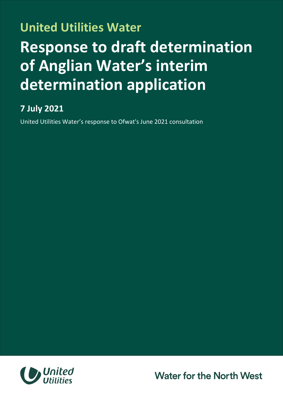## **United Utilities Water Response to draft determination of Anglian Water's interim determination application**

## **7 July 2021**

United Utilities Water's response to Ofwat's June 2021 consultation



**Water for the North West**